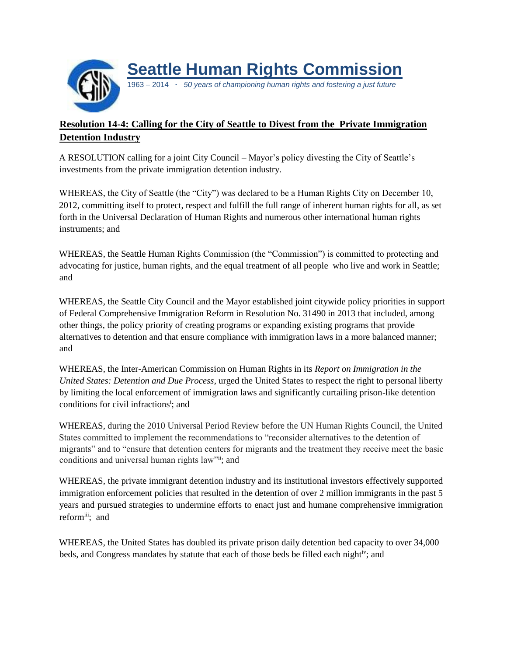

## **Resolution 14-4: Calling for the City of Seattle to Divest from the Private Immigration Detention Industry**

A RESOLUTION calling for a joint City Council – Mayor's policy divesting the City of Seattle's investments from the private immigration detention industry.

WHEREAS, the City of Seattle (the "City") was declared to be a Human Rights City on December 10, 2012, committing itself to protect, respect and fulfill the full range of inherent human rights for all, as set forth in the Universal Declaration of Human Rights and numerous other international human rights instruments; and

WHEREAS, the Seattle Human Rights Commission (the "Commission") is committed to protecting and advocating for justice, human rights, and the equal treatment of all people who live and work in Seattle; and

WHEREAS, the Seattle City Council and the Mayor established joint citywide policy priorities in support of Federal Comprehensive Immigration Reform in Resolution No. 31490 in 2013 that included, among other things, the policy priority of creating programs or expanding existing programs that provide alternatives to detention and that ensure compliance with immigration laws in a more balanced manner; and

WHEREAS, the Inter-American Commission on Human Rights in its *Report on Immigration in the United States: Detention and Due Process*, urged the United States to respect the right to personal liberty by limiting the local enforcement of immigration laws and significantly curtailing prison-like detention conditions for civil infractions<sup>i</sup>; and

WHEREAS, during the 2010 Universal Period Review before the UN Human Rights Council, the United States committed to implement the recommendations to "reconsider alternatives to the detention of migrants" and to "ensure that detention centers for migrants and the treatment they receive meet the basic conditions and universal human rights law"ii; and

WHEREAS, the private immigrant detention industry and its institutional investors effectively supported immigration enforcement policies that resulted in the detention of over 2 million immigrants in the past 5 years and pursued strategies to undermine efforts to enact just and humane comprehensive immigration reformii; and

WHEREAS, the United States has doubled its private prison daily detention bed capacity to over 34,000 beds, and Congress mandates by statute that each of those beds be filled each nightiv; and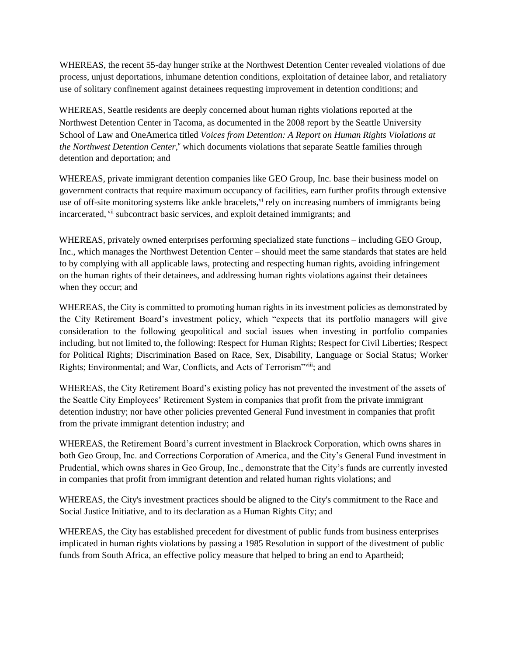WHEREAS, the recent 55-day hunger strike at the Northwest Detention Center revealed violations of due process, unjust deportations, inhumane detention conditions, exploitation of detainee labor, and retaliatory use of solitary confinement against detainees requesting improvement in detention conditions; and

WHEREAS, Seattle residents are deeply concerned about human rights violations reported at the Northwest Detention Center in Tacoma, as documented in the 2008 report by the Seattle University School of Law and OneAmerica titled *Voices from Detention: A Report on Human Rights Violations at*  the Northwest Detention Center,<sup>v</sup> which documents violations that separate Seattle families through detention and deportation; and

WHEREAS, private immigrant detention companies like GEO Group, Inc. base their business model on government contracts that require maximum occupancy of facilities, earn further profits through extensive use of off-site monitoring systems like ankle bracelets,  $\dot{v}$  rely on increasing numbers of immigrants being incarcerated, vii subcontract basic services, and exploit detained immigrants; and

WHEREAS, privately owned enterprises performing specialized state functions – including GEO Group, Inc., which manages the Northwest Detention Center – should meet the same standards that states are held to by complying with all applicable laws, protecting and respecting human rights, avoiding infringement on the human rights of their detainees, and addressing human rights violations against their detainees when they occur; and

WHEREAS, the City is committed to promoting human rights in its investment policies as demonstrated by the City Retirement Board's investment policy, which "expects that its portfolio managers will give consideration to the following geopolitical and social issues when investing in portfolio companies including, but not limited to, the following: Respect for Human Rights; Respect for Civil Liberties; Respect for Political Rights; Discrimination Based on Race, Sex, Disability, Language or Social Status; Worker Rights; Environmental; and War, Conflicts, and Acts of Terrorism"viii; and

WHEREAS, the City Retirement Board's existing policy has not prevented the investment of the assets of the Seattle City Employees' Retirement System in companies that profit from the private immigrant detention industry; nor have other policies prevented General Fund investment in companies that profit from the private immigrant detention industry; and

WHEREAS, the Retirement Board's current investment in Blackrock Corporation, which owns shares in both Geo Group, Inc. and Corrections Corporation of America, and the City's General Fund investment in Prudential, which owns shares in Geo Group, Inc., demonstrate that the City's funds are currently invested in companies that profit from immigrant detention and related human rights violations; and

WHEREAS, the City's investment practices should be aligned to the City's commitment to the Race and Social Justice Initiative, and to its declaration as a Human Rights City; and

WHEREAS, the City has established precedent for divestment of public funds from business enterprises implicated in human rights violations by passing a 1985 Resolution in support of the divestment of public funds from South Africa, an effective policy measure that helped to bring an end to Apartheid;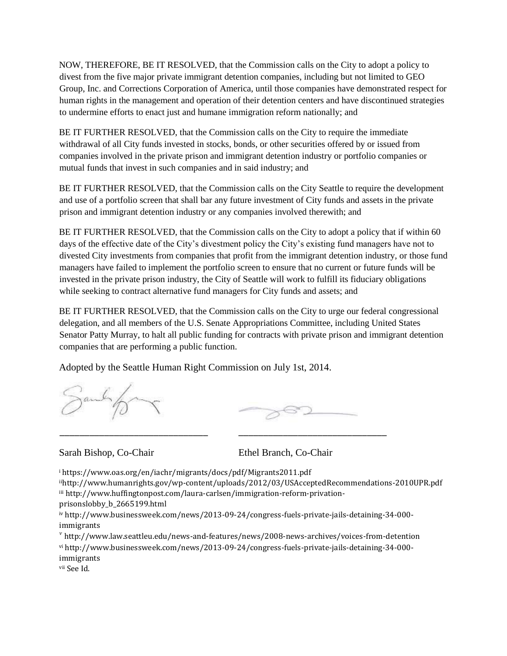NOW, THEREFORE, BE IT RESOLVED, that the Commission calls on the City to adopt a policy to divest from the five major private immigrant detention companies, including but not limited to GEO Group, Inc. and Corrections Corporation of America, until those companies have demonstrated respect for human rights in the management and operation of their detention centers and have discontinued strategies to undermine efforts to enact just and humane immigration reform nationally; and

BE IT FURTHER RESOLVED, that the Commission calls on the City to require the immediate withdrawal of all City funds invested in stocks, bonds, or other securities offered by or issued from companies involved in the private prison and immigrant detention industry or portfolio companies or mutual funds that invest in such companies and in said industry; and

BE IT FURTHER RESOLVED, that the Commission calls on the City Seattle to require the development and use of a portfolio screen that shall bar any future investment of City funds and assets in the private prison and immigrant detention industry or any companies involved therewith; and

BE IT FURTHER RESOLVED, that the Commission calls on the City to adopt a policy that if within 60 days of the effective date of the City's divestment policy the City's existing fund managers have not to divested City investments from companies that profit from the immigrant detention industry, or those fund managers have failed to implement the portfolio screen to ensure that no current or future funds will be invested in the private prison industry, the City of Seattle will work to fulfill its fiduciary obligations while seeking to contract alternative fund managers for City funds and assets; and

BE IT FURTHER RESOLVED, that the Commission calls on the City to urge our federal congressional delegation, and all members of the U.S. Senate Appropriations Committee, including United States Senator Patty Murray, to halt all public funding for contracts with private prison and immigrant detention companies that are performing a public function.

Adopted by the Seattle Human Right Commission on July 1st, 2014.

Sandofor

Sarah Bishop, Co-Chair Ethel Branch, Co-Chair

<sup>i</sup> https://www.oas.org/en/iachr/migrants/docs/pdf/Migrants2011.pdf

iihttp://www.humanrights.gov/wp-content/uploads/2012/03/USAcceptedRecommendations-2010UPR.pdf iii http://www.huffingtonpost.com/laura-carlsen/immigration-reform-privationprisonslobby\_b\_2665199.html

iv http://www.businessweek.com/news/2013-09-24/congress-fuels-private-jails-detaining-34-000 immigrants

\_\_\_\_\_\_\_\_\_\_\_\_\_\_\_\_\_\_\_\_\_\_\_\_\_\_\_\_\_\_ \_\_\_\_\_\_\_\_\_\_\_\_\_\_\_\_\_\_\_\_\_\_\_\_\_\_\_\_\_\_

*v* <http://www.law.seattleu.edu/news-and-features/news/2008-news-archives/voices-from-detention> vi http://www.businessweek.com/news/2013-09-24/congress-fuels-private-jails-detaining-34-000 immigrants

vii See Id.